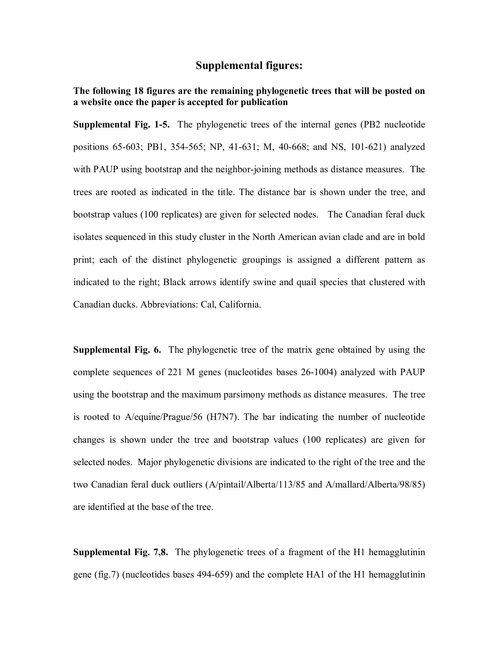#### **Supplemental figures:**

#### **The following 18 figures are the remaining phylogenetic trees that will be posted on a website once the paper is accepted for publication**

**Supplemental Fig. 1-5.** The phylogenetic trees of the internal genes (PB2 nucleotide positions 65-603; PB1, 354-565; NP, 41-631; M, 40-668; and NS, 101-621) analyzed with PAUP using bootstrap and the neighbor-joining methods as distance measures. The trees are rooted as indicated in the title. The distance bar is shown under the tree, and bootstrap values (100 replicates) are given for selected nodes. The Canadian feral duck isolates sequenced in this study cluster in the North American avian clade and are in bold print; each of the distinct phylogenetic groupings is assigned a different pattern as indicated to the right; Black arrows identify swine and quail species that clustered with Canadian ducks. Abbreviations: Cal, California.

**Supplemental Fig. 6.** The phylogenetic tree of the matrix gene obtained by using the complete sequences of 221 M genes (nucleotides bases 26-1004) analyzed with PAUP using the bootstrap and the maximum parsimony methods as distance measures. The tree is rooted to A/equine/Prague/56 (H7N7). The bar indicating the number of nucleotide changes is shown under the tree and bootstrap values (100 replicates) are given for selected nodes. Major phylogenetic divisions are indicated to the right of the tree and the two Canadian feral duck outliers (A/pintail/Alberta/113/85 and A/mallard/Alberta/98/85) are identified at the base of the tree.

**Supplemental Fig. 7,8.** The phylogenetic trees of a fragment of the H1 hemagglutinin gene (fig.7) (nucleotides bases 494-659) and the complete HA1 of the H1 hemagglutinin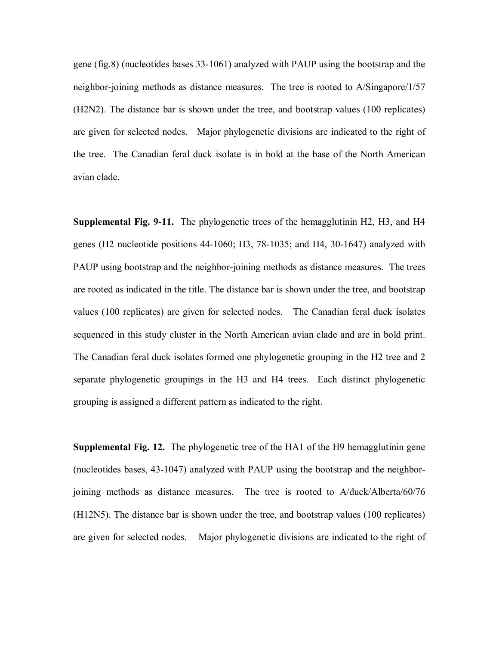gene (fig.8) (nucleotides bases 33-1061) analyzed with PAUP using the bootstrap and the neighbor-joining methods as distance measures. The tree is rooted to A/Singapore/1/57 (H2N2). The distance bar is shown under the tree, and bootstrap values (100 replicates) are given for selected nodes. Major phylogenetic divisions are indicated to the right of the tree. The Canadian feral duck isolate is in bold at the base of the North American avian clade.

**Supplemental Fig. 9-11.** The phylogenetic trees of the hemagglutinin H2, H3, and H4 genes (H2 nucleotide positions 44-1060; H3, 78-1035; and H4, 30-1647) analyzed with PAUP using bootstrap and the neighbor-joining methods as distance measures. The trees are rooted as indicated in the title. The distance bar is shown under the tree, and bootstrap values (100 replicates) are given for selected nodes. The Canadian feral duck isolates sequenced in this study cluster in the North American avian clade and are in bold print. The Canadian feral duck isolates formed one phylogenetic grouping in the H2 tree and 2 separate phylogenetic groupings in the H3 and H4 trees. Each distinct phylogenetic grouping is assigned a different pattern as indicated to the right.

**Supplemental Fig. 12.** The phylogenetic tree of the HA1 of the H9 hemagglutinin gene (nucleotides bases, 43-1047) analyzed with PAUP using the bootstrap and the neighborjoining methods as distance measures. The tree is rooted to A/duck/Alberta/60/76 (H12N5). The distance bar is shown under the tree, and bootstrap values (100 replicates) are given for selected nodes. Major phylogenetic divisions are indicated to the right of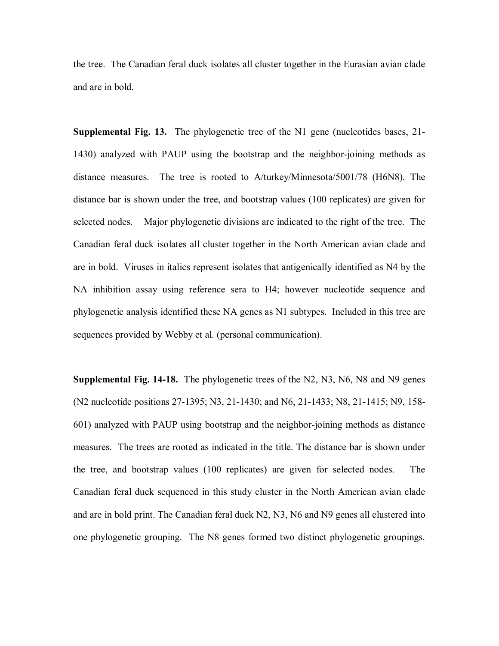the tree. The Canadian feral duck isolates all cluster together in the Eurasian avian clade and are in bold.

**Supplemental Fig. 13.** The phylogenetic tree of the N1 gene (nucleotides bases, 21- 1430) analyzed with PAUP using the bootstrap and the neighbor-joining methods as distance measures. The tree is rooted to A/turkey/Minnesota/5001/78 (H6N8). The distance bar is shown under the tree, and bootstrap values (100 replicates) are given for selected nodes. Major phylogenetic divisions are indicated to the right of the tree. The Canadian feral duck isolates all cluster together in the North American avian clade and are in bold. Viruses in italics represent isolates that antigenically identified as N4 by the NA inhibition assay using reference sera to H4; however nucleotide sequence and phylogenetic analysis identified these NA genes as N1 subtypes. Included in this tree are sequences provided by Webby et al. (personal communication).

**Supplemental Fig. 14-18.** The phylogenetic trees of the N2, N3, N6, N8 and N9 genes (N2 nucleotide positions 27-1395; N3, 21-1430; and N6, 21-1433; N8, 21-1415; N9, 158- 601) analyzed with PAUP using bootstrap and the neighbor-joining methods as distance measures. The trees are rooted as indicated in the title. The distance bar is shown under the tree, and bootstrap values (100 replicates) are given for selected nodes. The Canadian feral duck sequenced in this study cluster in the North American avian clade and are in bold print. The Canadian feral duck N2, N3, N6 and N9 genes all clustered into one phylogenetic grouping. The N8 genes formed two distinct phylogenetic groupings.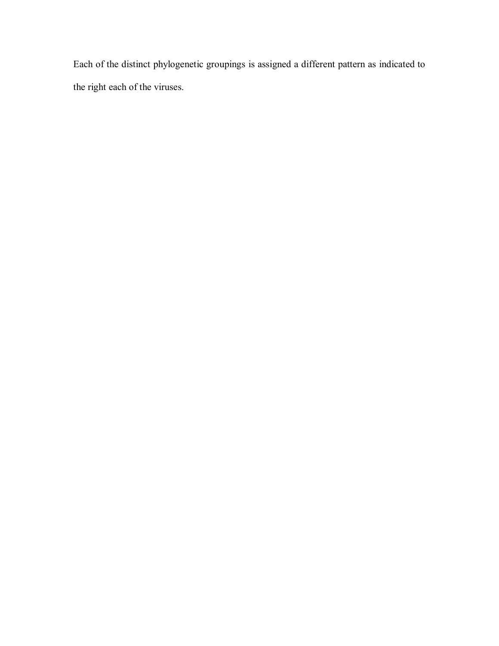Each of the distinct phylogenetic groupings is assigned a different pattern as indicated to the right each of the viruses.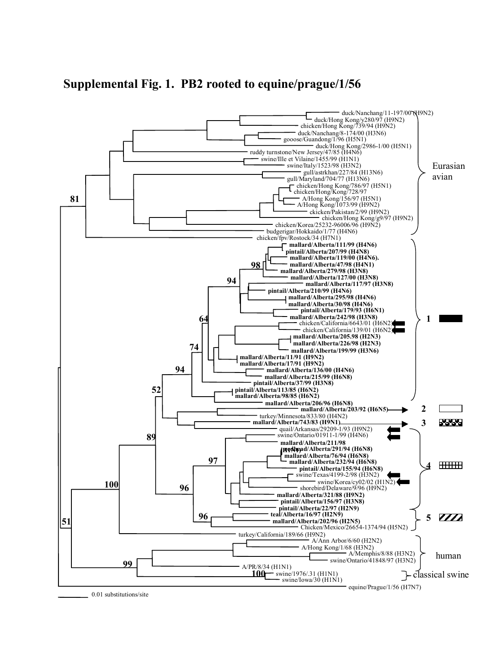

**Supplemental Fig. 1. PB2 rooted to equine/prague/1/56**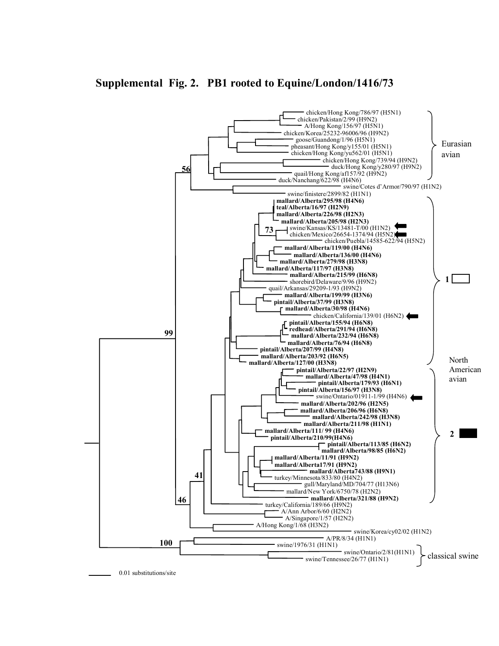### **Supplemental Fig. 2. PB1 rooted to Equine/London/1416/73**

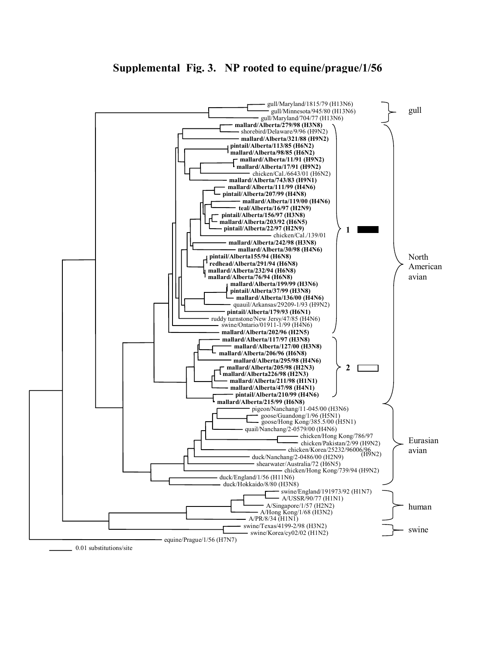### **Supplemental Fig. 3. NP rooted to equine/prague/1/56**

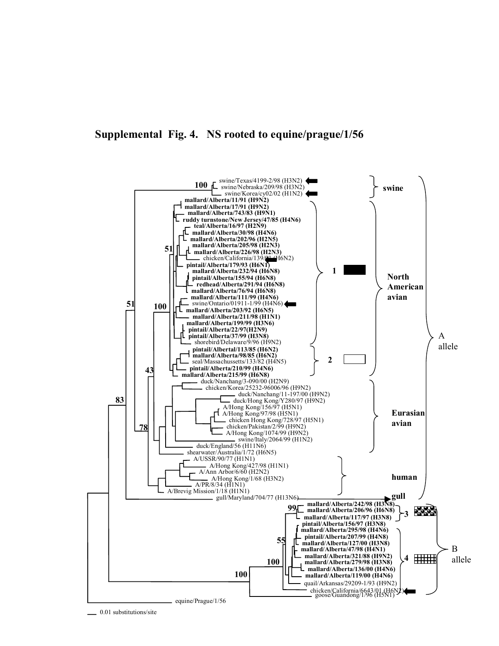#### **Supplemental Fig. 4. NS rooted to equine/prague/1/56**

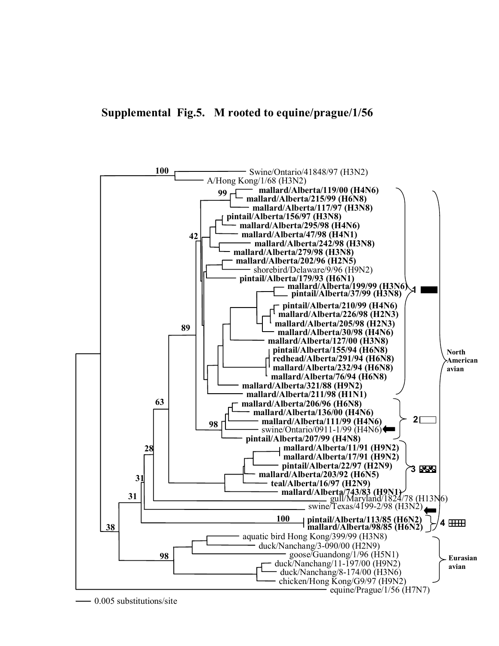

0.005 substitutions/site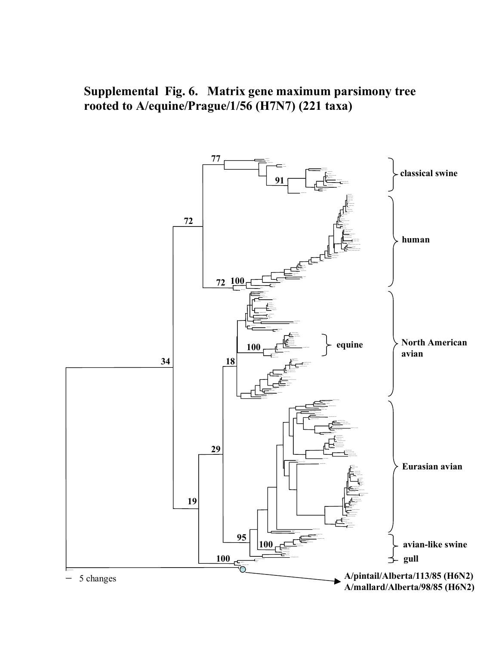**Supplemental Fig. 6. Matrix gene maximum parsimony tree rooted to A/equine/Prague/1/56 (H7N7) (221 taxa)** 

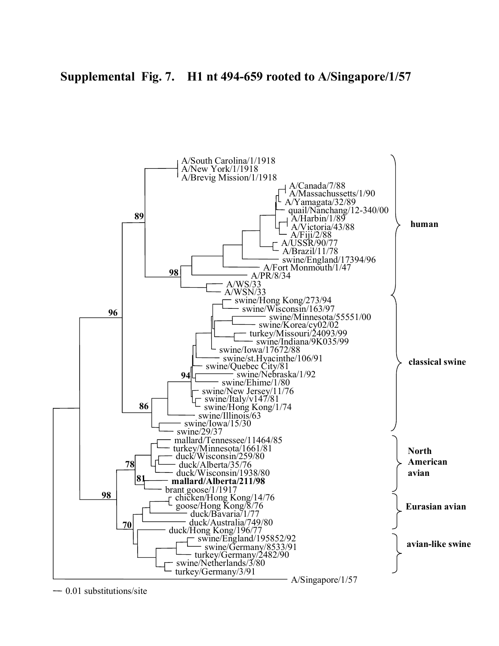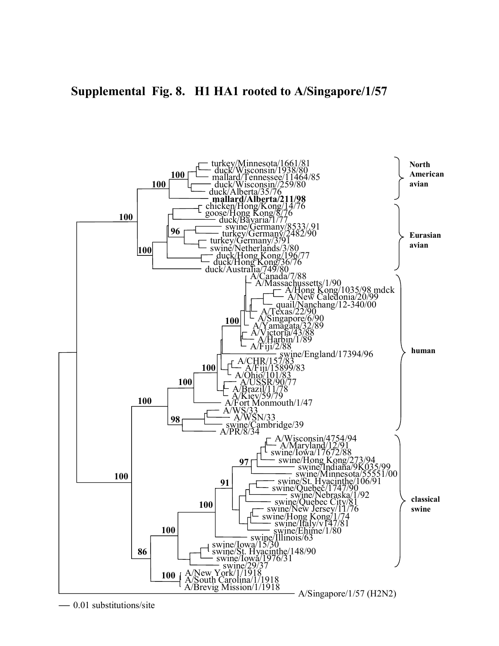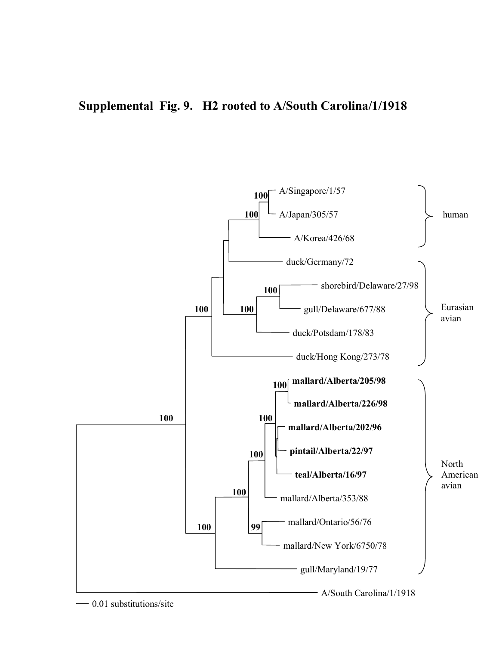# **Supplemental Fig. 9. H2 rooted to A/South Carolina/1/1918**

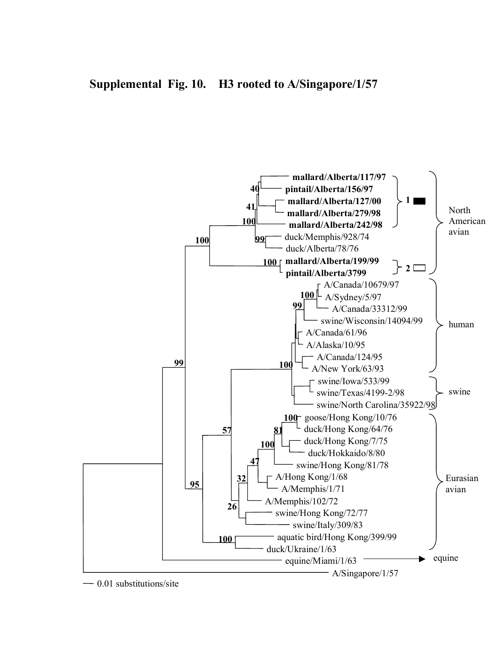

0.01 substitutions/site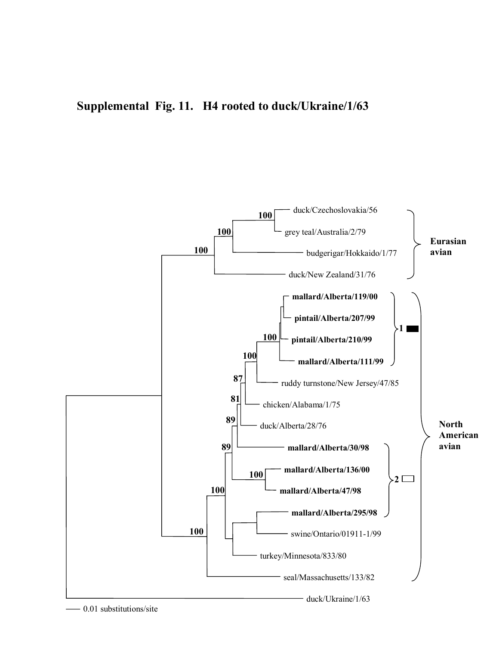# **Supplemental Fig. 11. H4 rooted to duck/Ukraine/1/63**

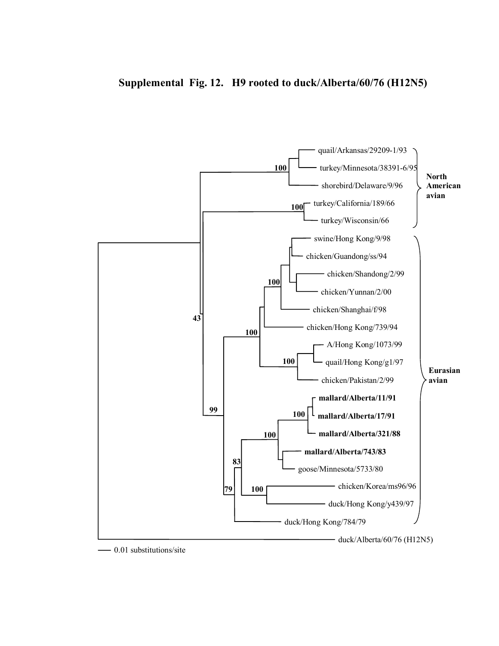### **Supplemental Fig. 12. H9 rooted to duck/Alberta/60/76 (H12N5)**

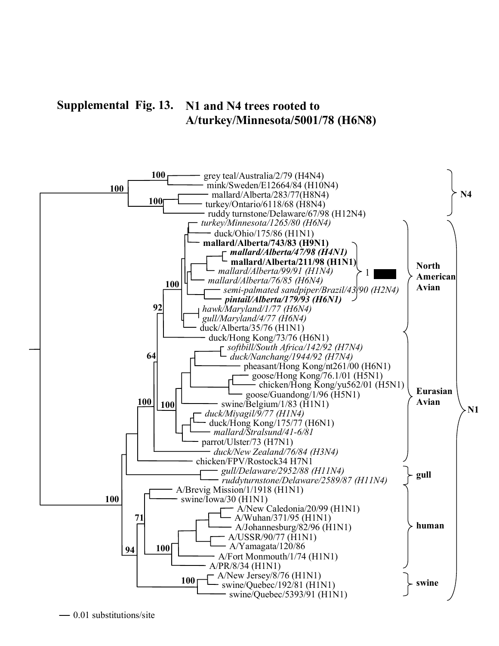#### **Supplemental Fig. 13. N1 and N4 trees rooted to A/turkey/Minnesota/5001/78 (H6N8)**

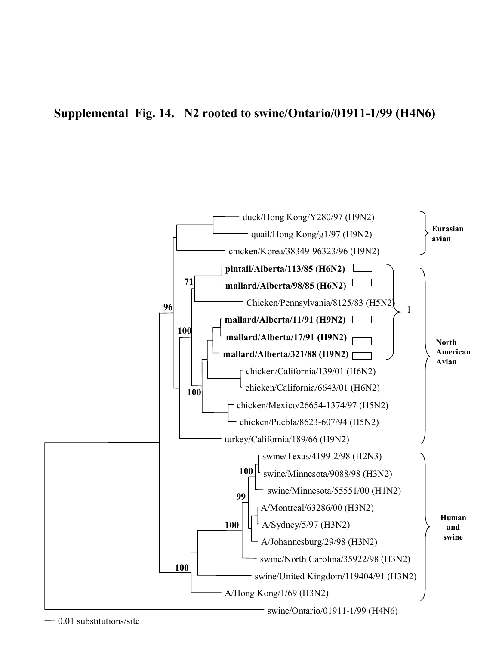# **Supplemental Fig. 14. N2 rooted to swine/Ontario/01911-1/99 (H4N6)**

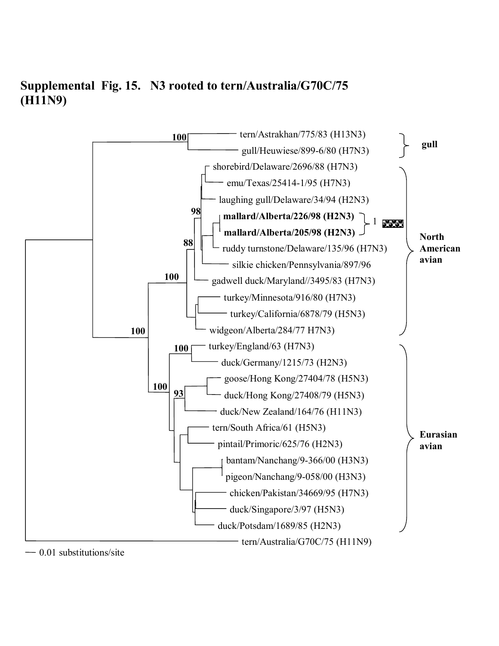# **Supplemental Fig. 15. N3 rooted to tern/Australia/G70C/75 (H11N9)**

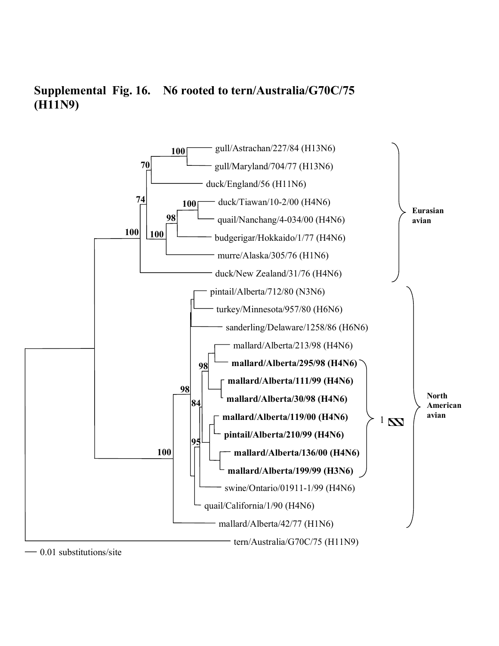

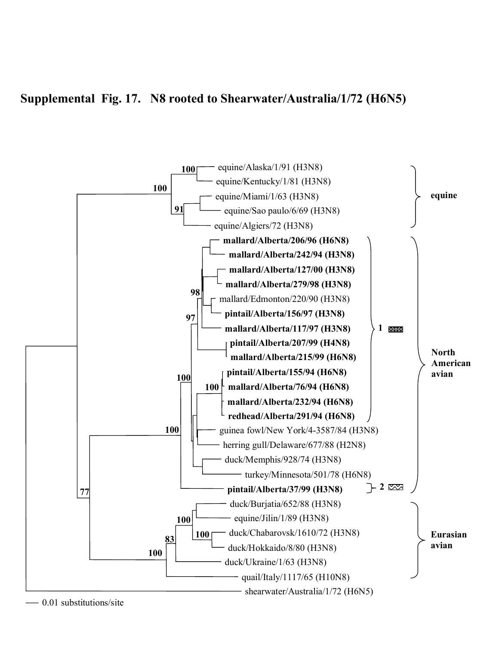# **Supplemental Fig. 17. N8 rooted to Shearwater/Australia/1/72 (H6N5)**